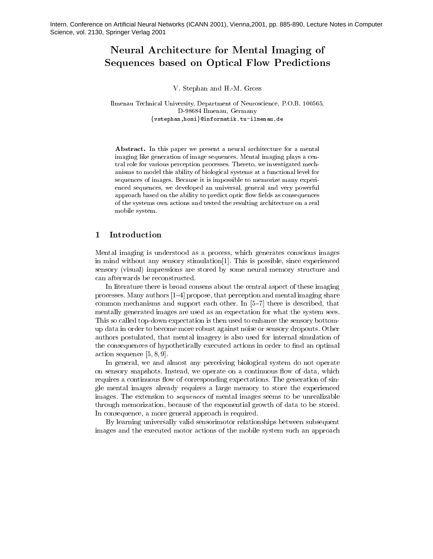# Neural Architecture for Mental Imaging of Sequences based on Optical Flow Predictions

V. Stephan and H.-M. Gross

Ilmenau Technical University, Department of Neuroscience, P.O.B. 100565, D-98684 Ilmenau, Germany {vstephan, homi}@informatik.tu-ilmenau.de

Abstract. In this paper we present a neural architecture for a mental imaging like generation of image sequences. Mental imaging plays a central role for various perception processes. Thereto, we investigated mechanisms to model this ability of biological systems at a functional level for sequences of images. Because it is impossible to memorize many experienced sequences, we developed an universal, general and very powerful approach based on the ability to predict optic flow fields as consequences of the systems own actions and tested the resulting architecture on a real mobile system.

#### 1 Introduction

Mental imaging is understood as a process, which generates conscious images in mind without any sensory stimulation<sup>[1]</sup>. This is possible, since experienced sensory (visual) impressions are stored by some neural memory structure and can afterwards be reconstructed.

In literature there is broad consens about the central aspect of these imaging processes. Many authors [1-4] propose, that perception and mental imaging share common mechanisms and support each other. In  $[5-7]$  there is described, that mentally generated images are used as an expectation for what the system sees. This so called top-down expectation is then used to enhance the sensory bottomup data in order to become more robust against noise or sensory dropouts. Other authors postulated, that mental imagery is also used for internal simulation of the consequences of hypothetically executed actions in order to find an optimal action sequence  $[5, 8, 9]$ .

In general, we and almost any perceiving biological system do not operate on sensory snapshots. Instead, we operate on a continuous flow of data, which requires a continuous flow of corresponding expectations. The generation of single mental images already requires a large memory to store the experienced images. The extension to *sequences* of mental images seems to be unrealizable through memorization, because of the exponential growth of data to be stored. In consequence, a more general approach is required.

By learning universally valid sensorimotor relationships between subsequent images and the executed motor actions of the mobile system such an approach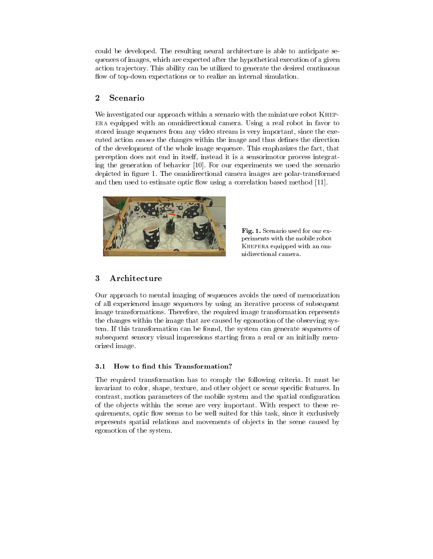could be developed. The resulting neural architecture is able to anticipate sequences of images, which are expected after the hypothetical execution of a given action trajectory. This ability can be utilized to generate the desired continuous flow of top-down expectations or to realize an internal simulation.

## $\overline{2}$ Scenario

We investigated our approach within a scenario with the miniature robot KHEP-ERA equipped with an omnidirectional camera. Using a real robot in favor to stored image sequences from any video stream is very important, since the executed action causes the changes within the image and thus defines the direction of the development of the whole image sequence. This emphasizes the fact, that perception does not end in itself, instead it is a sensorimotor process integrating the generation of behavior [10]. For our experiments we used the scenario depicted in figure 1. The omnidirectional camera images are polar-transformed and then used to estimate optic flow using a correlation based method [11].



Fig. 1. Scenario used for our experiments with the mobile robot KHEPERA equipped with an omnidirectional camera.

# 3 Architecture

Our approach to mental imaging of sequences avoids the need of memorization of all experienced image sequences by using an iterative process of subsequent image transformations. Therefore, the required image transformation represents the changes within the image that are caused by egomotion of the observing system. If this transformation can be found, the system can generate sequences of subsequent sensory visual impressions starting from a real or an initially memorized image.

### How to find this Transformation? 3.1

The required transformation has to comply the following criteria. It must be invariant to color, shape, texture, and other object or scene specific features. In contrast, motion parameters of the mobile system and the spatial configuration of the objects within the scene are very important. With respect to these requirements, optic flow seems to be well suited for this task, since it exclusively represents spatial relations and movements of objects in the scene caused by egomotion of the system.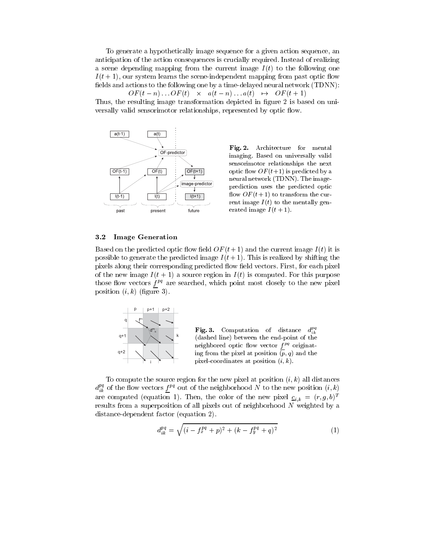To generate a hypothetically image sequence for a given action sequence, an anticipation of the action consequences is crucially required. Instead of realizing a scene depending mapping from the current image  $I(t)$  to the following one  $I(t+1)$ , our system learns the scene-independent mapping from past optic flow fields and actions to the following one by a time-delayed neural network (TDNN):  $OF(t - n) \dots OF(t) \times a(t - n) \dots a(t) \rightarrow OF(t + 1)$ 

Thus, the resulting image transformation depicted in figure 2 is based on universally valid sensorimotor relationships, represented by optic flow.



Fig. 2. Architecture for mental imaging. Based on universally valid sensorimotor relationships the next optic flow  $OF(t+1)$  is predicted by a neural network (TDNN). The imageprediction uses the predicted optic flow  $OF(t+1)$  to transform the current image  $I(t)$  to the mentally generated image  $I(t + 1)$ .

#### $3.2$ **Image Generation**

Based on the predicted optic flow field  $\overline{OF(t+1)}$  and the current image  $I(t)$  it is possible to generate the predicted image  $I(t+1)$ . This is realized by shifting the pixels along their corresponding predicted flow field vectors. First, for each pixel of the new image  $I(t + 1)$  a source region in  $I(t)$  is computed. For this purpose those flow vectors  $f^{pq}$  are searched, which point most closely to the new pixel position  $(i, k)$  (figure 3).



**Fig. 3.** Computation of distance  $d_{ik}^{pq}$ (dashed line) between the end-point of the neighbored optic flow vector  $f^{pq}$  originating from the pixel at position  $(p, q)$  and the pixel coordinates at position  $(i, k)$ .

To compute the source region for the new pixel at position  $(i, k)$  all distances  $d_{ik}^{pq}$  of the flow vectors  $f^{pq}$  out of the neighborhood N to the new position  $(i,k)$ are computed (equation 1). Then, the color of the new pixel  $c_{i,k} = (r, g, b)^T$ results from a superposition of all pixels out of neighborhood  $N$  weighted by a distance-dependent factor (equation 2).

$$
d_{ik}^{pq} = \sqrt{(i - f_x^{pq} + p)^2 + (k - f_y^{pq} + q)^2}
$$
 (1)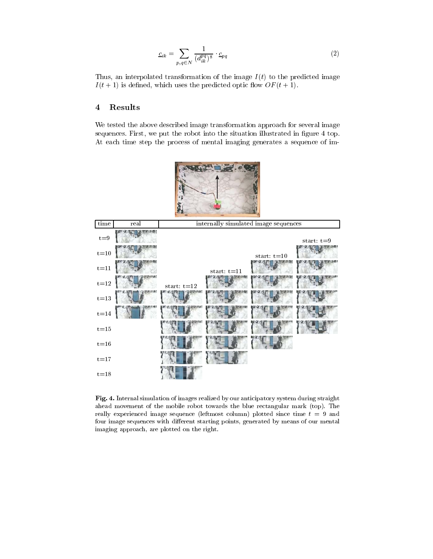$$
\underline{c}_{ik} = \sum_{p,q \in N} \frac{1}{(d_{ik}^{pq})^8} \cdot \underline{c}_{pq} \tag{2}
$$

Thus, an interpolated transformation of the image  $I(t)$  to the predicted image  $I(t+1)$  is defined, which uses the predicted optic flow  $OF(t+1)$ .

#### $\overline{\mathbf{4}}$ Results

We tested the above described image transformation approach for several image sequences. First, we put the robot into the situation illustrated in figure 4 top. At each time step the process of mental imaging generates a sequence of im-



Fig. 4. Internal simulation of images realized by our anticipatory system during straight ahead movement of the mobile robot towards the blue rectangular mark (top). The really experienced image sequence (leftmost column) plotted since time  $t = 9$  and four image sequences with different starting points, generated by means of our mental imaging approach, are plotted on the right.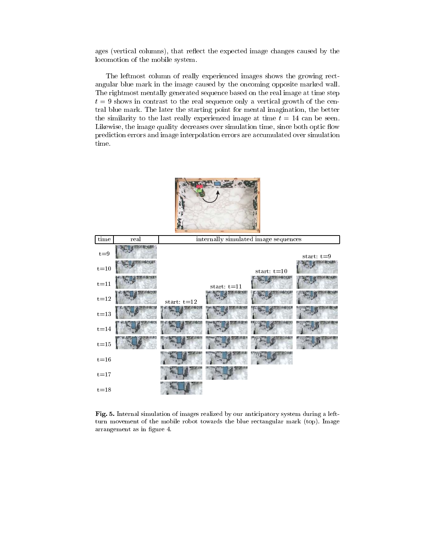ages (vertical columns), that reflect the expected image changes caused by the locomotion of the mobile system.

The leftmost column of really experienced images shows the growing rectangular blue mark in the image caused by the oncoming opposite marked wall. The rightmost mentally generated sequence based on the real image at time step  $t = 9$  shows in contrast to the real sequence only a vertical growth of the central blue mark. The later the starting point for mental imagination, the better the similarity to the last really experienced image at time  $t = 14$  can be seen. Likewise, the image quality decreases over simulation time, since both optic flow prediction errors and image interpolation errors are accumulated over simulation time.





Fig. 5. Internal simulation of images realized by our anticipatory system during a leftturn movement of the mobile robot towards the blue rectangular mark (top). Image arrangement as in figure 4.